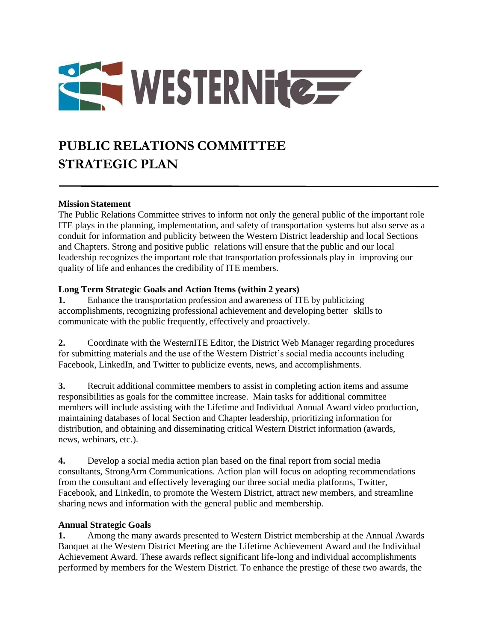

## **PUBLIC RELATIONS COMMITTEE STRATEGIC PLAN**

## **Mission Statement**

The Public Relations Committee strives to inform not only the general public of the important role ITE plays in the planning, implementation, and safety of transportation systems but also serve as a conduit for information and publicity between the Western District leadership and local Sections and Chapters. Strong and positive public relations will ensure that the public and our local leadership recognizes the important role that transportation professionals play in improving our quality of life and enhances the credibility of ITE members.

## **Long Term Strategic Goals and Action Items (within 2 years)**

**1.** Enhance the transportation profession and awareness of ITE by publicizing accomplishments, recognizing professional achievement and developing better skills to communicate with the public frequently, effectively and proactively.

**2.** Coordinate with the WesternITE Editor, the District Web Manager regarding procedures for submitting materials and the use of the Western District's social media accounts including Facebook, LinkedIn, and Twitter to publicize events, news, and accomplishments.

**3.** Recruit additional committee members to assist in completing action items and assume responsibilities as goals for the committee increase. Main tasks for additional committee members will include assisting with the Lifetime and Individual Annual Award video production, maintaining databases of local Section and Chapter leadership, prioritizing information for distribution, and obtaining and disseminating critical Western District information (awards, news, webinars, etc.).

**4.** Develop a social media action plan based on the final report from social media consultants, StrongArm Communications. Action plan will focus on adopting recommendations from the consultant and effectively leveraging our three social media platforms, Twitter, Facebook, and LinkedIn, to promote the Western District, attract new members, and streamline sharing news and information with the general public and membership.

## **Annual Strategic Goals**

**1.** Among the many awards presented to Western District membership at the Annual Awards Banquet at the Western District Meeting are the Lifetime Achievement Award and the Individual Achievement Award. These awards reflect significant life-long and individual accomplishments performed by members for the Western District. To enhance the prestige of these two awards, the